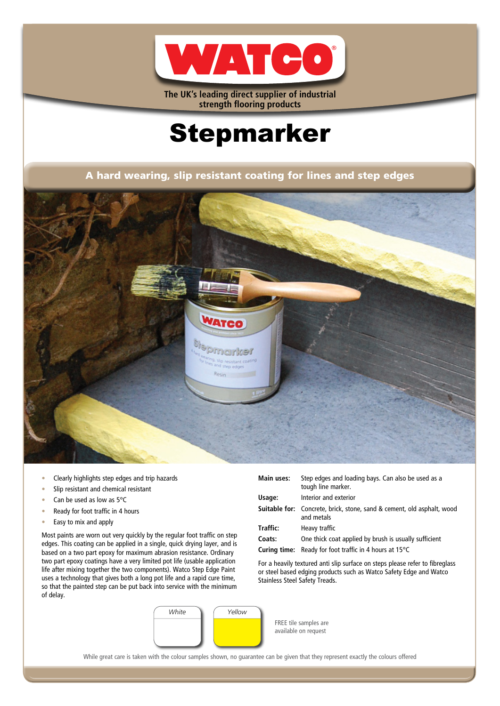

**The UK's leading direct supplier of industrial strength flooring products**

# Stepmarker

A hard wearing, slip resistant coating for lines and step edges



- Clearly highlights step edges and trip hazards
- Slip resistant and chemical resistant
- Can be used as low as 5°C
- Ready for foot traffic in 4 hours
- Easy to mix and apply

Most paints are worn out very quickly by the regular foot traffic on step edges. This coating can be applied in a single, quick drying layer, and is based on a two part epoxy for maximum abrasion resistance. Ordinary two part epoxy coatings have a very limited pot life (usable application life after mixing together the two components). Watco Step Edge Paint uses a technology that gives both a long pot life and a rapid cure time, so that the painted step can be put back into service with the minimum of delay.

| Main uses: | Step edges and loading bays. Can also be used as a<br>tough line marker.                    |
|------------|---------------------------------------------------------------------------------------------|
| Usage:     | Interior and exterior                                                                       |
|            | <b>Suitable for:</b> Concrete, brick, stone, sand & cement, old asphalt, wood<br>and metals |
| Traffic:   | Heavy traffic                                                                               |
| Coats:     | One thick coat applied by brush is usually sufficient                                       |
|            | <b>Curing time:</b> Ready for foot traffic in 4 hours at $15^{\circ}$ C                     |

For a heavily textured anti slip surface on steps please refer to fibreglass or steel based edging products such as Watco Safety Edge and Watco Stainless Steel Safety Treads.



FREE tile samples are available on request

While great care is taken with the colour samples shown, no guarantee can be given that they represent exactly the colours offered